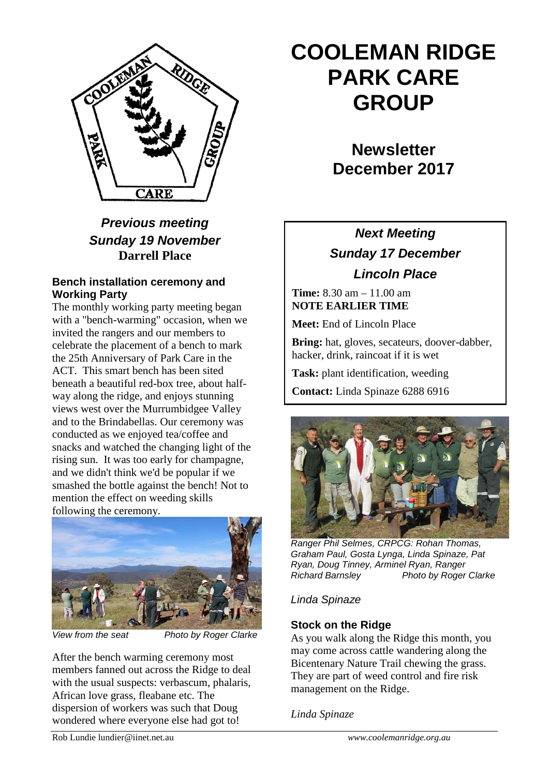

## *Previous meeting Sunday 19 November* **Darrell Place**

#### **Bench installation ceremony and Working Party**

The monthly working party meeting began with a "bench-warming" occasion, when we invited the rangers and our members to celebrate the placement of a bench to mark the 25th Anniversary of Park Care in the ACT. This smart bench has been sited beneath a beautiful red-box tree, about halfway along the ridge, and enjoys stunning views west over the Murrumbidgee Valley and to the Brindabellas. Our ceremony was conducted as we enjoyed tea/coffee and snacks and watched the changing light of the rising sun. It was too early for champagne, and we didn't think we'd be popular if we smashed the bottle against the bench! Not to mention the effect on weeding skills following the ceremony.



*View from the seat Photo by Roger Clarke*

After the bench warming ceremony most members fanned out across the Ridge to deal with the usual suspects: verbascum, phalaris, African love grass, fleabane etc. The dispersion of workers was such that Doug wondered where everyone else had got to!

# **COOLEMAN RIDGE PARK CARE GROUP**

**Newsletter December 2017** 

# *Next Meeting Sunday 17 December Lincoln Place*

**Time:** 8.30 am – 11.00 am **NOTE EARLIER TIME**

**Meet:** End of Lincoln Place

**Bring:** hat, gloves, secateurs, doover-dabber, hacker, drink, raincoat if it is wet

**Task:** plant identification, weeding

**Contact:** Linda Spinaze 6288 6916



*Ranger Phil Selmes, CRPCG: Rohan Thomas, Graham Paul, Gosta Lynga, Linda Spinaze, Pat Ryan, Doug Tinney, Arminel Ryan, Ranger Richard Barnsley Photo by Roger Clarke*

#### *Linda Spinaze*

#### **Stock on the Ridge**

As you walk along the Ridge this month, you may come across cattle wandering along the Bicentenary Nature Trail chewing the grass. They are part of weed control and fire risk management on the Ridge.

*Linda Spinaze*